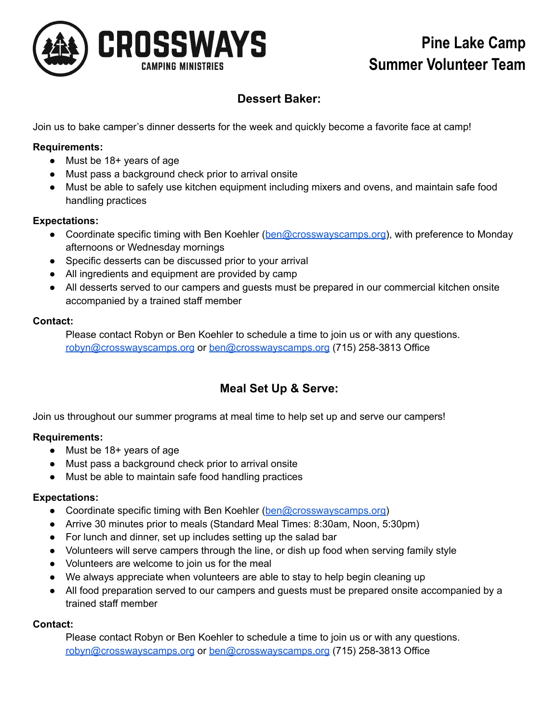

# **Pine Lake Camp Summer Volunteer Team**

# **Dessert Baker:**

Join us to bake camper's dinner desserts for the week and quickly become a favorite face at camp!

# **Requirements:**

- Must be 18+ years of age
- Must pass a background check prior to arrival onsite
- Must be able to safely use kitchen equipment including mixers and ovens, and maintain safe food handling practices

## **Expectations:**

- Coordinate specific timing with Ben Koehler ([ben@crosswayscamps.org\)](mailto:ben@crosswayscamps.org), with preference to Monday afternoons or Wednesday mornings
- Specific desserts can be discussed prior to your arrival
- All ingredients and equipment are provided by camp
- All desserts served to our campers and quests must be prepared in our commercial kitchen onsite accompanied by a trained staff member

## **Contact:**

Please contact Robyn or Ben Koehler to schedule a time to join us or with any questions. [robyn@crosswayscamps.org](mailto:robyn@crosswayscamps.org) or [ben@crosswayscamps.org](mailto:ben@crosswayscamps.org) (715) 258-3813 Office

# **Meal Set Up & Serve:**

Join us throughout our summer programs at meal time to help set up and serve our campers!

## **Requirements:**

- Must be 18+ years of age
- Must pass a background check prior to arrival onsite
- Must be able to maintain safe food handling practices

## **Expectations:**

- Coordinate specific timing with Ben Koehler ([ben@crosswayscamps.org\)](mailto:ben@crosswayscamps.org)
- Arrive 30 minutes prior to meals (Standard Meal Times: 8:30am, Noon, 5:30pm)
- For lunch and dinner, set up includes setting up the salad bar
- Volunteers will serve campers through the line, or dish up food when serving family style
- Volunteers are welcome to join us for the meal
- We always appreciate when volunteers are able to stay to help begin cleaning up
- All food preparation served to our campers and guests must be prepared onsite accompanied by a trained staff member

## **Contact:**

Please contact Robyn or Ben Koehler to schedule a time to join us or with any questions. [robyn@crosswayscamps.org](mailto:robyn@crosswayscamps.org) or [ben@crosswayscamps.org](mailto:ben@crosswayscamps.org) (715) 258-3813 Office